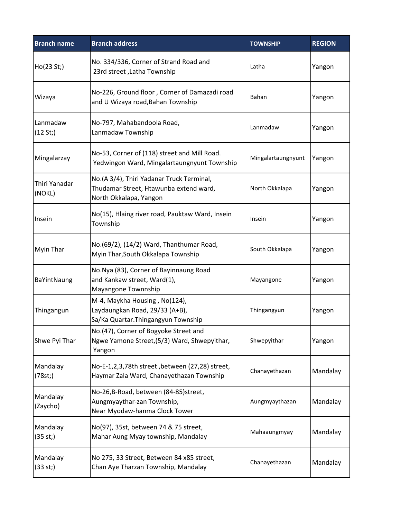| <b>Branch name</b>      | <b>Branch address</b>                                                                                         | <b>TOWNSHIP</b>    | <b>REGION</b> |
|-------------------------|---------------------------------------------------------------------------------------------------------------|--------------------|---------------|
| Ho(23 St.)              | No. 334/336, Corner of Strand Road and<br>23rd street, Latha Township                                         | Latha              | Yangon        |
| Wizaya                  | No-226, Ground floor, Corner of Damazadi road<br>and U Wizaya road, Bahan Township                            | Bahan              | Yangon        |
| Lanmadaw<br>(12 St; )   | No-797, Mahabandoola Road,<br>Lanmadaw Township                                                               | Lanmadaw           | Yangon        |
| Mingalarzay             | No-53, Corner of (118) street and Mill Road.<br>Yedwingon Ward, Mingalartaungnyunt Township                   | Mingalartaungnyunt | Yangon        |
| Thiri Yanadar<br>(NOKL) | No.(A 3/4), Thiri Yadanar Truck Terminal,<br>Thudamar Street, Htawunba extend ward,<br>North Okkalapa, Yangon | North Okkalapa     | Yangon        |
| Insein                  | No(15), Hlaing river road, Pauktaw Ward, Insein<br>Township                                                   | Insein             | Yangon        |
| Myin Thar               | No.(69/2), (14/2) Ward, Thanthumar Road,<br>Myin Thar, South Okkalapa Township                                | South Okkalapa     | Yangon        |
| BaYintNaung             | No.Nya (83), Corner of Bayinnaung Road<br>and Kankaw street, Ward(1),<br>Mayangone Townnship                  | Mayangone          | Yangon        |
| Thingangun              | M-4, Maykha Housing, No(124),<br>Laydaungkan Road, 29/33 (A+B),<br>Sa/Ka Quartar. Thingangyun Township        | Thingangyun        | Yangon        |
| Shwe Pyi Thar           | No.(47), Corner of Bogyoke Street and<br>Ngwe Yamone Street, (5/3) Ward, Shwepyithar,<br>Yangon               | Shwepyithar        | Yangon        |
| Mandalay<br>(78st; )    | No-E-1,2,3,78th street , between (27,28) street,<br>Haymar Zala Ward, Chanayethazan Township                  | Chanayethazan      | Mandalay      |
| Mandalay<br>(Zaycho)    | No-26,B-Road, between (84-85)street,<br>Aungmyaythar-zan Township,<br>Near Myodaw-hanma Clock Tower           | Aungmyaythazan     | Mandalay      |
| Mandalay<br>(35 st; )   | No(97), 35st, between 74 & 75 street,<br>Mahar Aung Myay township, Mandalay                                   | Mahaaungmyay       | Mandalay      |
| Mandalay<br>(33 st; )   | No 275, 33 Street, Between 84 x85 street,<br>Chan Aye Tharzan Township, Mandalay                              | Chanayethazan      | Mandalay      |